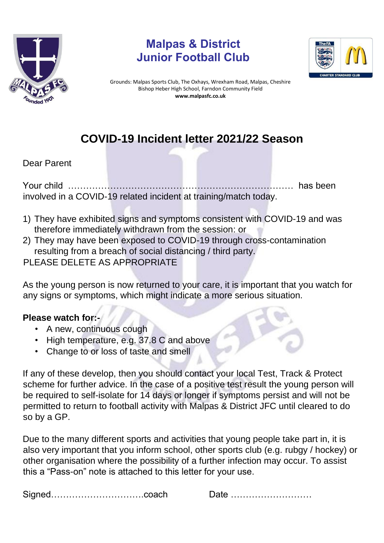

## **Malpas & District Junior Football Club**



Grounds: Malpas Sports Club, The Oxhays, Wrexham Road, Malpas, Cheshire Bishop Heber High School, Farndon Community Field **www.malpasfc.co.uk** 

## **COVID-19 Incident letter 2021/22 Season**

Dear Parent

Your child ………………………………………………………………… has been involved in a COVID-19 related incident at training/match today.

- 1) They have exhibited signs and symptoms consistent with COVID-19 and was therefore immediately withdrawn from the session: or
- 2) They may have been exposed to COVID-19 through cross-contamination resulting from a breach of social distancing / third party.
- PLEASE DELETE AS APPROPRIATE

As the young person is now returned to your care, it is important that you watch for any signs or symptoms, which might indicate a more serious situation.

## **Please watch for:-**

- A new, continuous cough
- High temperature, e.g. 37.8 C and above
- Change to or loss of taste and smell

If any of these develop, then you should contact your local Test, Track & Protect scheme for further advice. In the case of a positive test result the young person will be required to self-isolate for 14 days or longer if symptoms persist and will not be permitted to return to football activity with Malpas & District JFC until cleared to do so by a GP.

Due to the many different sports and activities that young people take part in, it is also very important that you inform school, other sports club (e.g. rubgy / hockey) or other organisation where the possibility of a further infection may occur. To assist this a "Pass-on" note is attached to this letter for your use.

Signed………………………….coach Date ………………………